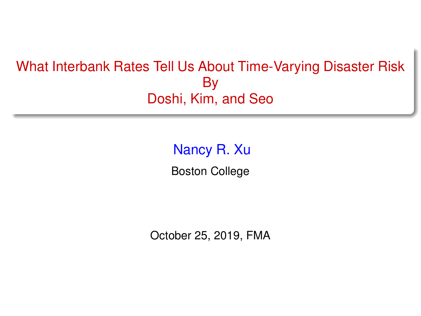## <span id="page-0-0"></span>What Interbank Rates Tell Us About Time-Varying Disaster Risk By Doshi, Kim, and Seo

Nancy R. Xu Boston College

October 25, 2019, FMA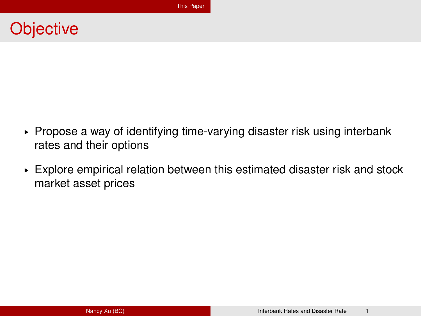## <span id="page-1-0"></span>**Objective**

- ► Propose a way of identifying time-varying disaster risk using interbank rates and their options
- $\triangleright$  Explore empirical relation between this estimated disaster risk and stock market asset prices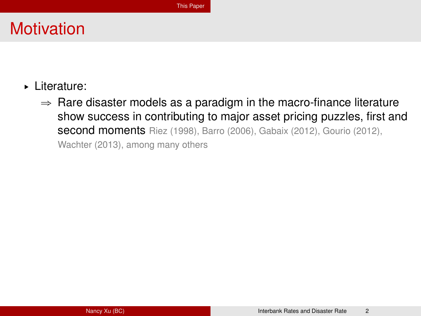# **Motivation**

- § Literature:
	- $\Rightarrow$  Rare disaster models as a paradigm in the macro-finance literature show success in contributing to major asset pricing puzzles, first and second moments Riez (1998), Barro (2006), Gabaix (2012), Gourio (2012), Wachter (2013), among many others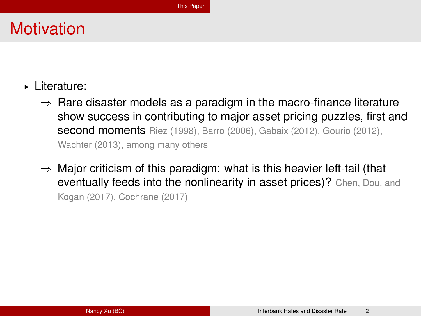# **Motivation**

- § Literature:
	- $\Rightarrow$  Rare disaster models as a paradigm in the macro-finance literature show success in contributing to major asset pricing puzzles, first and second moments Riez (1998), Barro (2006), Gabaix (2012), Gourio (2012), Wachter (2013), among many others
	- $\Rightarrow$  Major criticism of this paradigm: what is this heavier left-tail (that eventually feeds into the nonlinearity in asset prices)? Chen, Dou, and Kogan (2017), Cochrane (2017)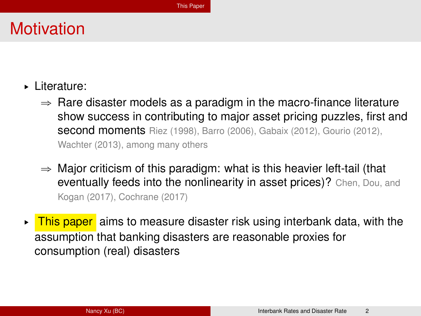# **Motivation**

- § Literature:
	- $\Rightarrow$  Rare disaster models as a paradigm in the macro-finance literature show success in contributing to major asset pricing puzzles, first and second moments Riez (1998), Barro (2006), Gabaix (2012), Gourio (2012), Wachter (2013), among many others
	- $\Rightarrow$  Major criticism of this paradigm: what is this heavier left-tail (that eventually feeds into the nonlinearity in asset prices)? Chen, Dou, and Kogan (2017), Cochrane (2017)
- $\triangleright$  This paper aims to measure disaster risk using interbank data, with the assumption that banking disasters are reasonable proxies for consumption (real) disasters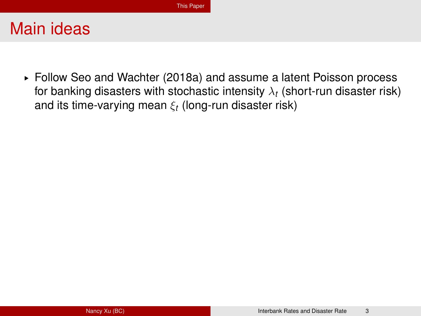§ Follow Seo and Wachter (2018a) and assume a latent Poisson process for banking disasters with stochastic intensity  $\lambda_t$  (short-run disaster risk) and its time-varying mean ξ*<sup>t</sup>* (long-run disaster risk)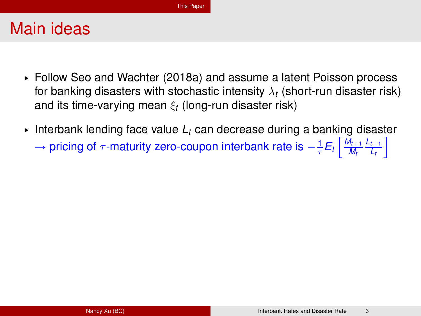- § Follow Seo and Wachter (2018a) and assume a latent Poisson process for banking disasters with stochastic intensity  $\lambda_t$  (short-run disaster risk) and its time-varying mean ξ*<sup>t</sup>* (long-run disaster risk)
- $\blacktriangleright$  Interbank lending face value  $L_t$  can decrease during a banking disaster  $\rightarrow$  pricing of  $\tau$ -maturity zero-coupon interbank rate is  $-\frac{1}{\tau}E_t\left|\frac{M_{t+1}}{M_t}\right|$ *Mt*  $L_{t+1}$ *Lt*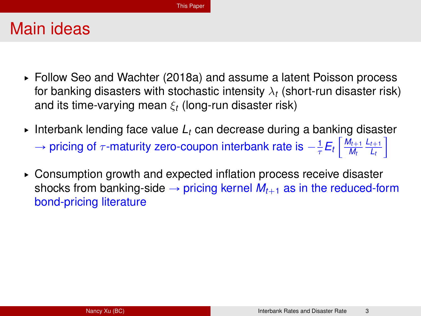- § Follow Seo and Wachter (2018a) and assume a latent Poisson process for banking disasters with stochastic intensity  $\lambda_t$  (short-run disaster risk) and its time-varying mean ξ*<sup>t</sup>* (long-run disaster risk)
- $\blacktriangleright$  Interbank lending face value  $L_t$  can decrease during a banking disaster  $\rightarrow$  pricing of  $\tau$ -maturity zero-coupon interbank rate is  $-\frac{1}{\tau}E_t\left|\frac{M_{t+1}}{M_t}\right|$ *Mt*  $L_{t+1}$ *Lt*
- $\triangleright$  Consumption growth and expected inflation process receive disaster shocks from banking-side  $\rightarrow$  pricing kernel  $M_{t+1}$  as in the reduced-form bond-pricing literature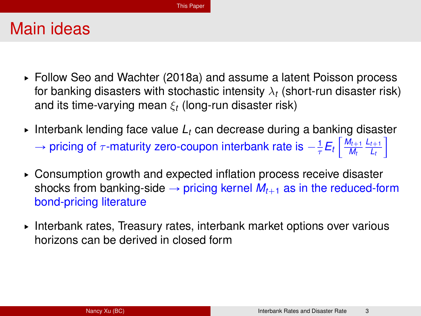- § Follow Seo and Wachter (2018a) and assume a latent Poisson process for banking disasters with stochastic intensity  $\lambda_t$  (short-run disaster risk) and its time-varying mean ξ*<sup>t</sup>* (long-run disaster risk)
- $\blacktriangleright$  Interbank lending face value  $L_t$  can decrease during a banking disaster  $\rightarrow$  pricing of  $\tau$ -maturity zero-coupon interbank rate is  $-\frac{1}{\tau}E_t\left|\frac{M_{t+1}}{M_t}\right|$ *Mt*  $L_{t+1}$ *Lt*
- $\triangleright$  Consumption growth and expected inflation process receive disaster shocks from banking-side  $\rightarrow$  pricing kernel  $M_{t+1}$  as in the reduced-form bond-pricing literature
- § Interbank rates, Treasury rates, interbank market options over various horizons can be derived in closed form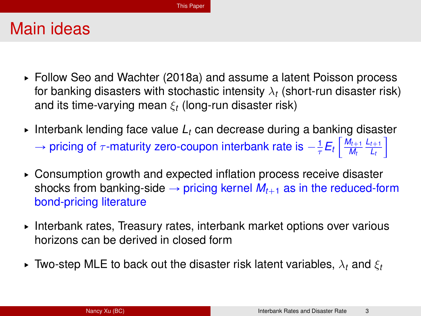- § Follow Seo and Wachter (2018a) and assume a latent Poisson process for banking disasters with stochastic intensity  $\lambda_t$  (short-run disaster risk) and its time-varying mean ξ*<sup>t</sup>* (long-run disaster risk)
- $\blacktriangleright$  Interbank lending face value  $L_t$  can decrease during a banking disaster  $\rightarrow$  pricing of  $\tau$ -maturity zero-coupon interbank rate is  $-\frac{1}{\tau}E_t\left|\frac{M_{t+1}}{M_t}\right|$ *Mt*  $L_{t+1}$ *Lt*
- $\triangleright$  Consumption growth and expected inflation process receive disaster shocks from banking-side  $\rightarrow$  pricing kernel  $M_{t+1}$  as in the reduced-form bond-pricing literature
- § Interbank rates, Treasury rates, interbank market options over various horizons can be derived in closed form
- $\blacktriangleright$  Two-step MLE to back out the disaster risk latent variables,  $\lambda_t$  and  $\xi_t$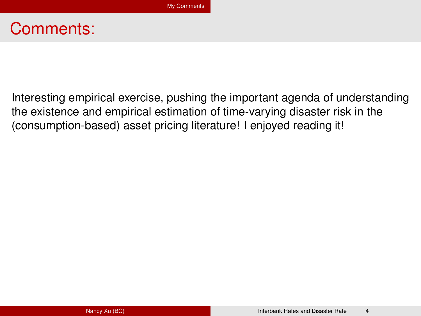## <span id="page-10-0"></span>Comments:

Interesting empirical exercise, pushing the important agenda of understanding the existence and empirical estimation of time-varying disaster risk in the (consumption-based) asset pricing literature! I enjoyed reading it!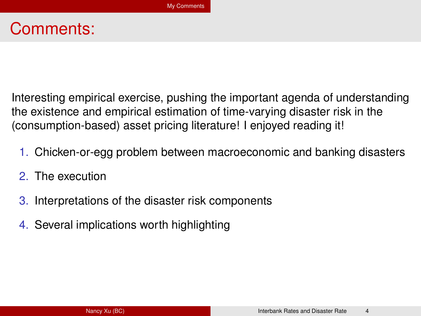# Comments:

Interesting empirical exercise, pushing the important agenda of understanding the existence and empirical estimation of time-varying disaster risk in the (consumption-based) asset pricing literature! I enjoyed reading it!

- 1. Chicken-or-egg problem between macroeconomic and banking disasters
- 2. The execution
- 3. Interpretations of the disaster risk components
- 4. Several implications worth highlighting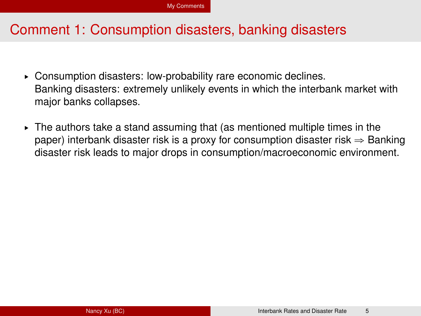### Comment 1: Consumption disasters, banking disasters

- § Consumption disasters: low-probability rare economic declines. Banking disasters: extremely unlikely events in which the interbank market with major banks collapses.
- $\triangleright$  The authors take a stand assuming that (as mentioned multiple times in the paper) interbank disaster risk is a proxy for consumption disaster risk  $\Rightarrow$  Banking disaster risk leads to major drops in consumption/macroeconomic environment.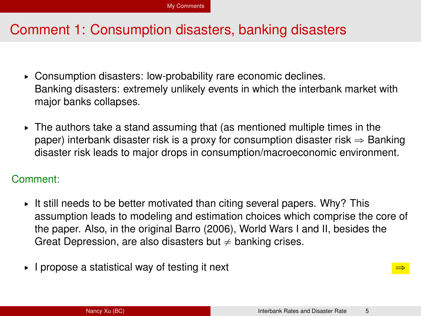### Comment 1: Consumption disasters, banking disasters

- § Consumption disasters: low-probability rare economic declines. Banking disasters: extremely unlikely events in which the interbank market with major banks collapses.
- $\triangleright$  The authors take a stand assuming that (as mentioned multiple times in the paper) interbank disaster risk is a proxy for consumption disaster risk  $\Rightarrow$  Banking disaster risk leads to major drops in consumption/macroeconomic environment.

#### Comment:

- It still needs to be better motivated than citing several papers. Why? This assumption leads to modeling and estimation choices which comprise the core of the paper. Also, in the original Barro (2006), World Wars I and II, besides the Great Depression, are also disasters but  $\neq$  banking crises.
- $\blacktriangleright$  I propose a statistical way of testing it next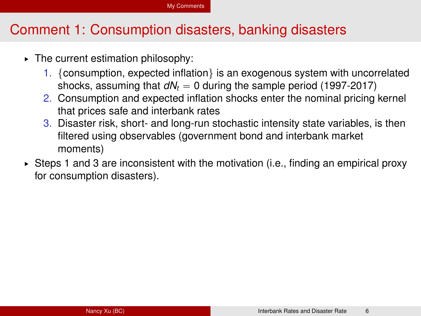#### [My Comments](#page-10-0)

#### Comment 1: Consumption disasters, banking disasters

- § The current estimation philosophy:
	- 1. {consumption, expected inflation} is an exogenous system with uncorrelated shocks, assuming that  $dN_t = 0$  during the sample period (1997-2017)
	- 2. Consumption and expected inflation shocks enter the nominal pricing kernel that prices safe and interbank rates
	- 3. Disaster risk, short- and long-run stochastic intensity state variables, is then filtered using observables (government bond and interbank market moments)
- $\triangleright$  Steps 1 and 3 are inconsistent with the motivation (i.e., finding an empirical proxy for consumption disasters).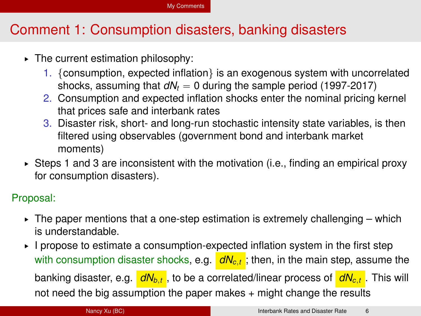#### [My Comments](#page-10-0)

## Comment 1: Consumption disasters, banking disasters

- § The current estimation philosophy:
	- 1. {consumption, expected inflation} is an exogenous system with uncorrelated shocks, assuming that  $dN_t = 0$  during the sample period (1997-2017)
	- 2. Consumption and expected inflation shocks enter the nominal pricing kernel that prices safe and interbank rates
	- 3. Disaster risk, short- and long-run stochastic intensity state variables, is then filtered using observables (government bond and interbank market moments)
- $\triangleright$  Steps 1 and 3 are inconsistent with the motivation (i.e., finding an empirical proxy for consumption disasters).

#### Proposal:

- $\triangleright$  The paper mentions that a one-step estimation is extremely challenging which is understandable.
- § I propose to estimate a consumption-expected inflation system in the first step with consumption disaster shocks, e.g.  $dN_{c,t}$ ; then, in the main step, assume the banking disaster, e.g. *dNb*,*<sup>t</sup>* , to be a correlated/linear process of *dNc*,*<sup>t</sup>* . This will not need the big assumption the paper makes + might change the results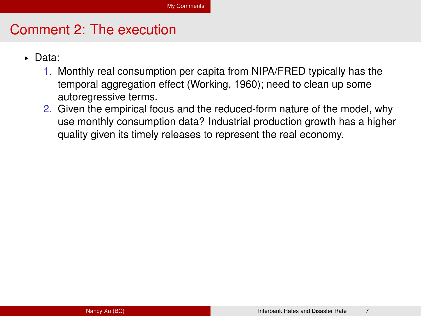- § Data:
	- 1. Monthly real consumption per capita from NIPA/FRED typically has the temporal aggregation effect (Working, 1960); need to clean up some autoregressive terms.
	- 2. Given the empirical focus and the reduced-form nature of the model, why use monthly consumption data? Industrial production growth has a higher quality given its timely releases to represent the real economy.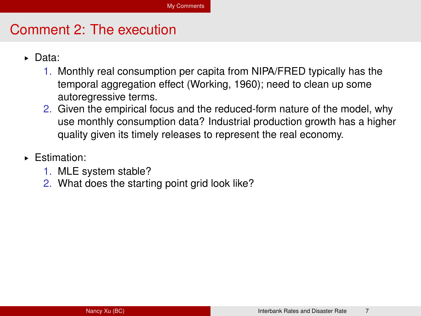- § Data:
	- 1. Monthly real consumption per capita from NIPA/FRED typically has the temporal aggregation effect (Working, 1960); need to clean up some autoregressive terms.
	- 2. Given the empirical focus and the reduced-form nature of the model, why use monthly consumption data? Industrial production growth has a higher quality given its timely releases to represent the real economy.
- § Estimation:
	- 1. MLE system stable?
	- 2. What does the starting point grid look like?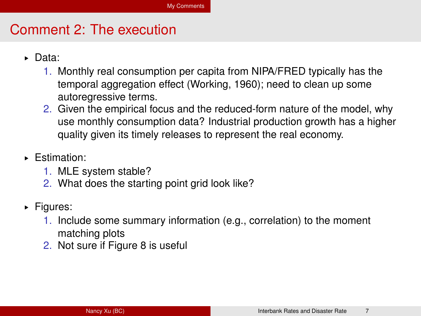- § Data:
	- 1. Monthly real consumption per capita from NIPA/FRED typically has the temporal aggregation effect (Working, 1960); need to clean up some autoregressive terms.
	- 2. Given the empirical focus and the reduced-form nature of the model, why use monthly consumption data? Industrial production growth has a higher quality given its timely releases to represent the real economy.
- § Estimation:
	- 1. MLE system stable?
	- 2. What does the starting point grid look like?
- § Figures:
	- 1. Include some summary information (e.g., correlation) to the moment matching plots
	- 2. Not sure if Figure 8 is useful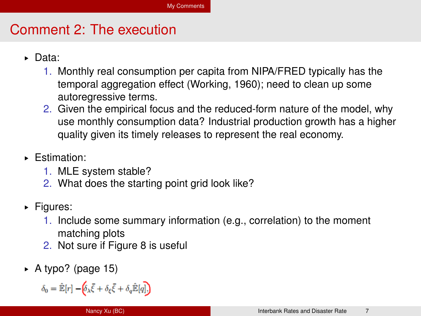- § Data:
	- 1. Monthly real consumption per capita from NIPA/FRED typically has the temporal aggregation effect (Working, 1960); need to clean up some autoregressive terms.
	- 2. Given the empirical focus and the reduced-form nature of the model, why use monthly consumption data? Industrial production growth has a higher quality given its timely releases to represent the real economy.
- § Estimation:
	- 1. MLE system stable?
	- 2. What does the starting point grid look like?
- § Figures:
	- 1. Include some summary information (e.g., correlation) to the moment matching plots
	- 2. Not sure if Figure 8 is useful
- $\triangleright$  A typo? (page 15)

$$
\delta_0 = \hat{\mathbb{E}}[r] - \left(\delta_\lambda \bar{\xi} + \delta_\xi \bar{\xi} + \delta_q \hat{\mathbb{E}}[q]\right)
$$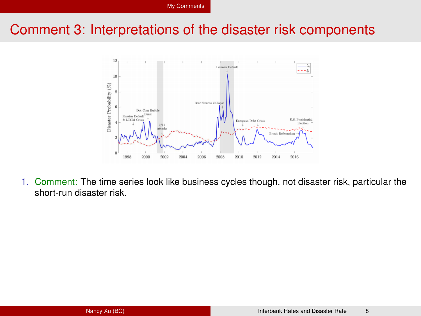

1. Comment: The time series look like business cycles though, not disaster risk, particular the short-run disaster risk.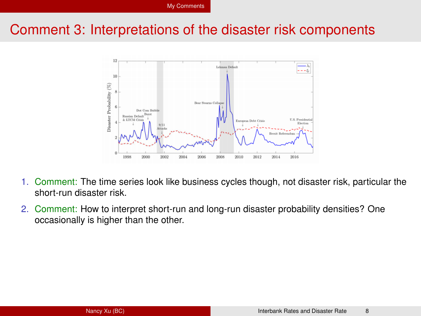

- 1. Comment: The time series look like business cycles though, not disaster risk, particular the short-run disaster risk.
- 2. Comment: How to interpret short-run and long-run disaster probability densities? One occasionally is higher than the other.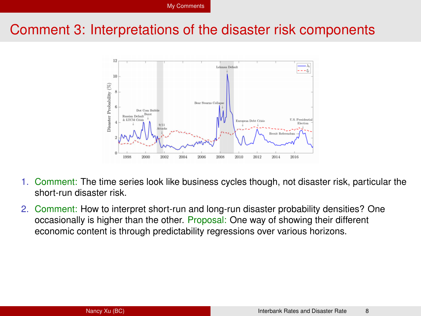

- 1. Comment: The time series look like business cycles though, not disaster risk, particular the short-run disaster risk.
- 2. Comment: How to interpret short-run and long-run disaster probability densities? One occasionally is higher than the other. Proposal: One way of showing their different economic content is through predictability regressions over various horizons.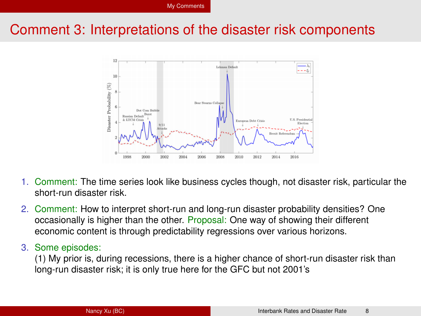

- 1. Comment: The time series look like business cycles though, not disaster risk, particular the short-run disaster risk.
- 2. Comment: How to interpret short-run and long-run disaster probability densities? One occasionally is higher than the other. Proposal: One way of showing their different economic content is through predictability regressions over various horizons.

#### 3. Some episodes:

(1) My prior is, during recessions, there is a higher chance of short-run disaster risk than long-run disaster risk; it is only true here for the GFC but not 2001's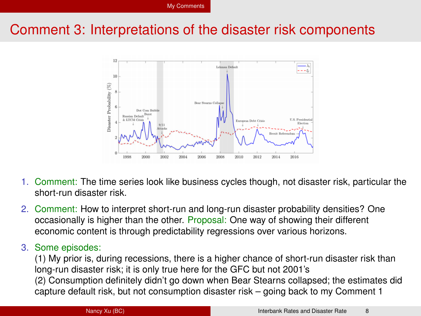

- 1. Comment: The time series look like business cycles though, not disaster risk, particular the short-run disaster risk.
- 2. Comment: How to interpret short-run and long-run disaster probability densities? One occasionally is higher than the other. Proposal: One way of showing their different economic content is through predictability regressions over various horizons.

#### 3. Some episodes:

(1) My prior is, during recessions, there is a higher chance of short-run disaster risk than long-run disaster risk; it is only true here for the GFC but not 2001's (2) Consumption definitely didn't go down when Bear Stearns collapsed; the estimates did capture default risk, but not consumption disaster risk – going back to my Comment 1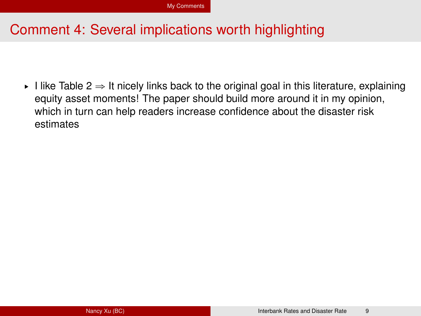## Comment 4: Several implications worth highlighting

I like Table  $2 \Rightarrow$  It nicely links back to the original goal in this literature, explaining equity asset moments! The paper should build more around it in my opinion, which in turn can help readers increase confidence about the disaster risk estimates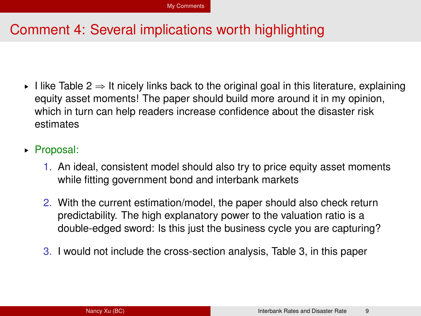## Comment 4: Several implications worth highlighting

- I like Table  $2 \Rightarrow$  It nicely links back to the original goal in this literature, explaining equity asset moments! The paper should build more around it in my opinion, which in turn can help readers increase confidence about the disaster risk estimates
- ▶ Proposal:
	- 1. An ideal, consistent model should also try to price equity asset moments while fitting government bond and interbank markets
	- 2. With the current estimation/model, the paper should also check return predictability. The high explanatory power to the valuation ratio is a double-edged sword: Is this just the business cycle you are capturing?
	- 3. I would not include the cross-section analysis, Table 3, in this paper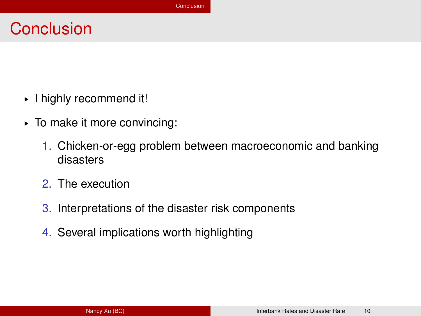# <span id="page-27-0"></span>**Conclusion**

- § I highly recommend it!
- § To make it more convincing:
	- 1. Chicken-or-egg problem between macroeconomic and banking disasters
	- 2. The execution
	- 3. Interpretations of the disaster risk components
	- 4. Several implications worth highlighting